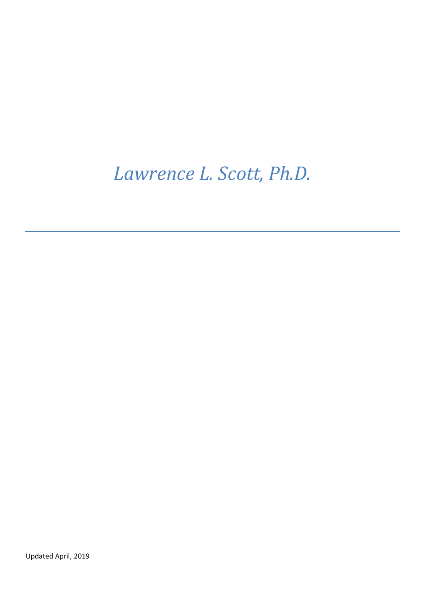# *Lawrence L. Scott, Ph.D.*

Updated April, 2019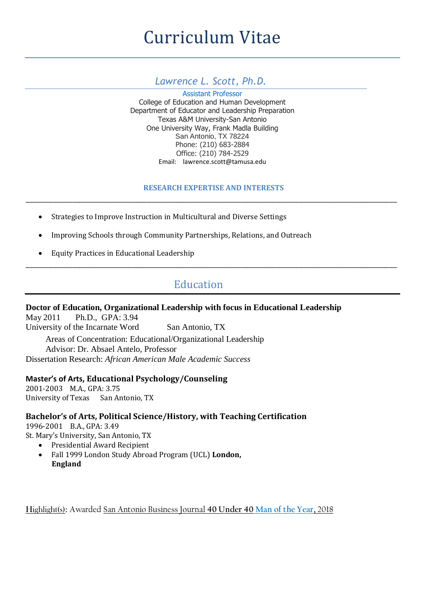# *Lawrence L. Scott, Ph.D.*

Assistant Professor College of Education and Human Development Department of Educator and Leadership Preparation Texas A&M University-San Antonio One University Way, Frank Madla Building San Antonio, TX 78224 Phone: (210) 683-2884 Office: (210) 784-2529 Email: lawrence.scott@tamusa.edu

# **RESEARCH EXPERTISE AND INTERESTS** \_\_\_\_\_\_\_\_\_\_\_\_\_\_\_\_\_\_\_\_\_\_\_\_\_\_\_\_\_\_\_\_\_\_\_\_\_\_\_\_\_\_\_\_\_\_\_\_\_\_\_\_\_\_\_\_\_\_\_\_\_\_\_\_\_\_\_\_\_\_\_\_\_\_\_\_\_\_\_\_\_\_\_\_\_\_\_\_\_\_\_\_\_\_\_

- Strategies to Improve Instruction in Multicultural and Diverse Settings
- Improving Schools through Community Partnerships, Relations, and Outreach
- Equity Practices in Educational Leadership

# Education

\_\_\_\_\_\_\_\_\_\_\_\_\_\_\_\_\_\_\_\_\_\_\_\_\_\_\_\_\_\_\_\_\_\_\_\_\_\_\_\_\_\_\_\_\_\_\_\_\_\_\_\_\_\_\_\_\_\_\_\_\_\_\_\_\_\_\_\_\_\_\_\_\_\_\_\_\_\_\_\_\_\_\_\_\_\_\_\_\_\_\_\_\_\_\_

# **Doctor of Education, Organizational Leadership with focus in Educational Leadership**

May 2011 Ph.D., GPA: 3.94 University of the Incarnate Word San Antonio, TX Areas of Concentration: Educational/Organizational Leadership Advisor: Dr. Absael Antelo, Professor Dissertation Research: *African American Male Academic Success*

# **Master's of Arts, Educational Psychology/Counseling**

2001-2003 M.A., GPA: 3.75 University of Texas San Antonio, TX

# **Bachelor's of Arts, Political Science/History, with Teaching Certification**

1996-2001 B.A., GPA: 3.49

- St. Mary's University, San Antonio, TX
	- Presidential Award Recipient
	- Fall 1999 London Study Abroad Program (UCL) **London, England**

Highlight(s): Awarded San Antonio Business Journal **40 Under 40 Man of the Year,** 2018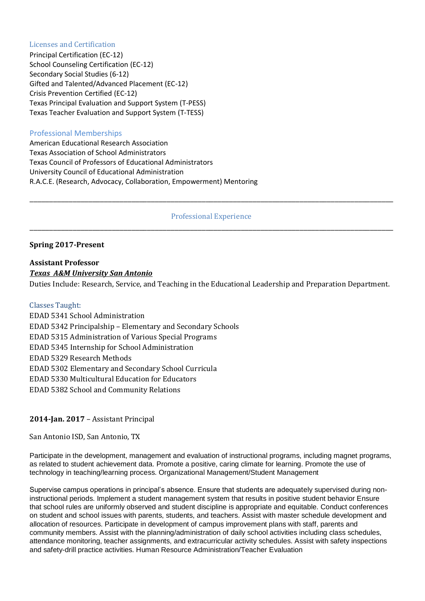#### Licenses and Certification

Principal Certification (EC-12) School Counseling Certification (EC-12) Secondary Social Studies (6-12) Gifted and Talented/Advanced Placement (EC-12) Crisis Prevention Certified (EC-12) Texas Principal Evaluation and Support System (T-PESS) Texas Teacher Evaluation and Support System (T-TESS)

# Professional Memberships

American Educational Research Association Texas Association of School Administrators Texas Council of Professors of Educational Administrators University Council of Educational Administration R.A.C.E. (Research, Advocacy, Collaboration, Empowerment) Mentoring

# Professional Experience \_\_\_\_\_\_\_\_\_\_\_\_\_\_\_\_\_\_\_\_\_\_\_\_\_\_\_\_\_\_\_\_\_\_\_\_\_\_\_\_\_\_\_\_\_\_\_\_\_\_\_\_\_\_\_\_\_\_\_\_\_\_\_\_\_\_\_\_\_\_\_\_\_\_\_\_\_\_\_\_\_\_\_\_\_\_\_\_\_\_\_\_\_

\_\_\_\_\_\_\_\_\_\_\_\_\_\_\_\_\_\_\_\_\_\_\_\_\_\_\_\_\_\_\_\_\_\_\_\_\_\_\_\_\_\_\_\_\_\_\_\_\_\_\_\_\_\_\_\_\_\_\_\_\_\_\_\_\_\_\_\_\_\_\_\_\_\_\_\_\_\_\_\_\_\_\_\_\_\_\_\_\_\_\_\_\_

## **Spring 2017-Present**

# **Assistant Professor** *Texas A&M University San Antonio*

Duties Include: Research, Service, and Teaching in the Educational Leadership and Preparation Department.

#### Classes Taught:

EDAD 5341 School Administration EDAD 5342 Principalship – Elementary and Secondary Schools EDAD 5315 Administration of Various Special Programs EDAD 5345 Internship for School Administration EDAD 5329 Research Methods EDAD 5302 Elementary and Secondary School Curricula EDAD 5330 Multicultural Education for Educators EDAD 5382 School and Community Relations

## **2014-Jan. 2017** – Assistant Principal

San Antonio ISD, San Antonio, TX

Participate in the development, management and evaluation of instructional programs, including magnet programs, as related to student achievement data. Promote a positive, caring climate for learning. Promote the use of technology in teaching/learning process. Organizational Management/Student Management

Supervise campus operations in principal's absence. Ensure that students are adequately supervised during noninstructional periods. Implement a student management system that results in positive student behavior Ensure that school rules are uniformly observed and student discipline is appropriate and equitable. Conduct conferences on student and school issues with parents, students, and teachers. Assist with master schedule development and allocation of resources. Participate in development of campus improvement plans with staff, parents and community members. Assist with the planning/administration of daily school activities including class schedules, attendance monitoring, teacher assignments, and extracurricular activity schedules. Assist with safety inspections and safety-drill practice activities. Human Resource Administration/Teacher Evaluation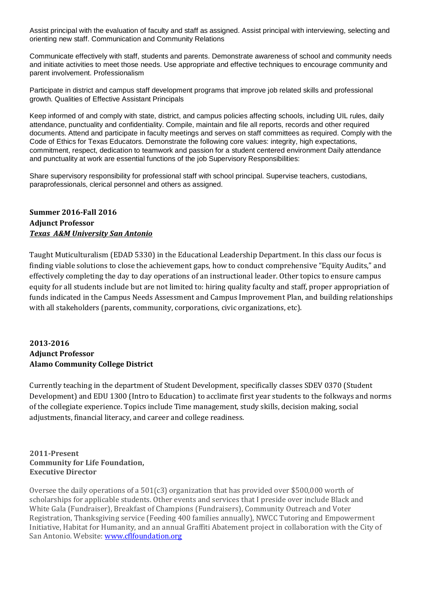Assist principal with the evaluation of faculty and staff as assigned. Assist principal with interviewing, selecting and orienting new staff. Communication and Community Relations

Communicate effectively with staff, students and parents. Demonstrate awareness of school and community needs and initiate activities to meet those needs. Use appropriate and effective techniques to encourage community and parent involvement. Professionalism

Participate in district and campus staff development programs that improve job related skills and professional growth. Qualities of Effective Assistant Principals

Keep informed of and comply with state, district, and campus policies affecting schools, including UIL rules, daily attendance, punctuality and confidentiality. Compile, maintain and file all reports, records and other required documents. Attend and participate in faculty meetings and serves on staff committees as required. Comply with the Code of Ethics for Texas Educators. Demonstrate the following core values: integrity, high expectations, commitment, respect, dedication to teamwork and passion for a student centered environment Daily attendance and punctuality at work are essential functions of the job Supervisory Responsibilities:

Share supervisory responsibility for professional staff with school principal. Supervise teachers, custodians, paraprofessionals, clerical personnel and others as assigned.

# **Summer 2016-Fall 2016 Adjunct Professor** *Texas A&M University San Antonio*

Taught Muticulturalism (EDAD 5330) in the Educational Leadership Department. In this class our focus is finding viable solutions to close the achievement gaps, how to conduct comprehensive "Equity Audits," and effectively completing the day to day operations of an instructional leader. Other topics to ensure campus equity for all students include but are not limited to: hiring quality faculty and staff, proper appropriation of funds indicated in the Campus Needs Assessment and Campus Improvement Plan, and building relationships with all stakeholders (parents, community, corporations, civic organizations, etc).

# **2013-2016 Adjunct Professor Alamo Community College District**

Currently teaching in the department of Student Development, specifically classes SDEV 0370 (Student Development) and EDU 1300 (Intro to Education) to acclimate first year students to the folkways and norms of the collegiate experience. Topics include Time management, study skills, decision making, social adjustments, financial literacy, and career and college readiness.

#### **2011-Present Community for Life Foundation, Executive Director**

Oversee the daily operations of a 501(c3) organization that has provided over \$500,000 worth of scholarships for applicable students. Other events and services that I preside over include Black and White Gala (Fundraiser), Breakfast of Champions (Fundraisers), Community Outreach and Voter Registration, Thanksgiving service (Feeding 400 families annually), NWCC Tutoring and Empowerment Initiative, Habitat for Humanity, and an annual Graffiti Abatement project in collaboration with the City of San Antonio. Website: [www.cflfoundation.org](http://www.cflfoundation.org/)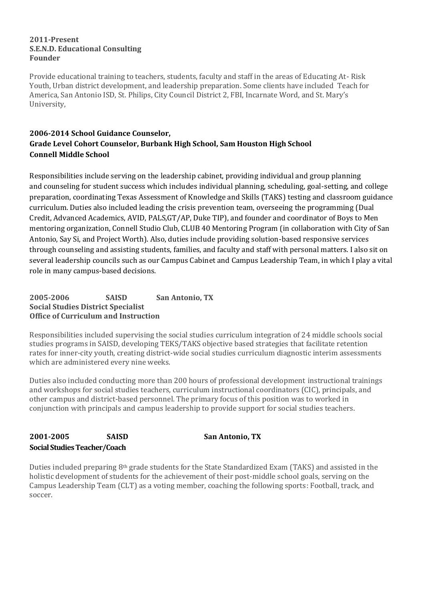#### **2011-Present S.E.N.D. Educational Consulting Founder**

Provide educational training to teachers, students, faculty and staff in the areas of Educating At- Risk Youth, Urban district development, and leadership preparation. Some clients have included Teach for America, San Antonio ISD, St. Philips, City Council District 2, FBI, Incarnate Word, and St. Mary's University,

# **2006-2014 School Guidance Counselor, Grade Level Cohort Counselor, Burbank High School, Sam Houston High School Connell Middle School**

Responsibilities include serving on the leadership cabinet, providing individual and group planning and counseling for student success which includes individual planning, scheduling, goal-setting, and college preparation, coordinating Texas Assessment of Knowledge and Skills (TAKS) testing and classroom guidance curriculum. Duties also included leading the crisis prevention team, overseeing the programming (Dual Credit, Advanced Academics, AVID, PALS,GT/AP, Duke TIP), and founder and coordinator of Boys to Men mentoring organization, Connell Studio Club, CLUB 40 Mentoring Program (in collaboration with City of San Antonio, Say Si, and Project Worth). Also, duties include providing solution-based responsive services through counseling and assisting students, families, and faculty and staff with personal matters. I also sit on several leadership councils such as our Campus Cabinet and Campus Leadership Team, in which I play a vital role in many campus-based decisions.

# **2005-2006 SAISD San Antonio, TX Social Studies District Specialist Office of Curriculum and Instruction**

Responsibilities included supervising the social studies curriculum integration of 24 middle schools social studies programs in SAISD, developing TEKS/TAKS objective based strategies that facilitate retention rates for inner-city youth, creating district-wide social studies curriculum diagnostic interim assessments which are administered every nine weeks.

Duties also included conducting more than 200 hours of professional development instructional trainings and workshops for social studies teachers, curriculum instructional coordinators (CIC), principals, and other campus and district-based personnel. The primary focus of this position was to worked in conjunction with principals and campus leadership to provide support for social studies teachers.

# **2001-2005 SAISD San Antonio, TX Social Studies Teacher/Coach**

Duties included preparing 8th grade students for the State Standardized Exam (TAKS) and assisted in the holistic development of students for the achievement of their post-middle school goals, serving on the Campus Leadership Team (CLT) as a voting member, coaching the following sports: Football, track, and soccer.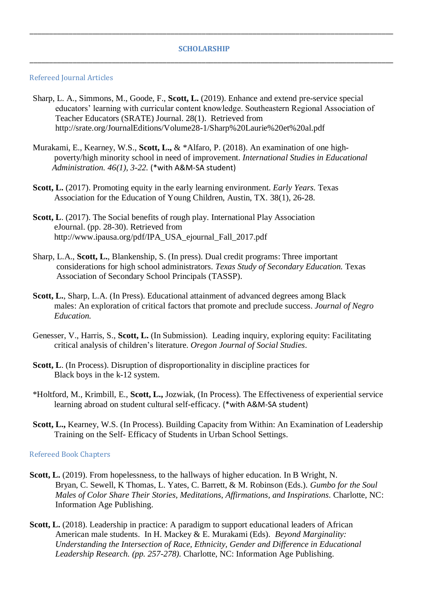#### **SCHOLARSHIP**

\_\_\_\_\_\_\_\_\_\_\_\_\_\_\_\_\_\_\_\_\_\_\_\_\_\_\_\_\_\_\_\_\_\_\_\_\_\_\_\_\_\_\_\_\_\_\_\_\_\_\_\_\_\_\_\_\_\_\_\_\_\_\_\_\_\_\_\_\_\_\_\_\_\_\_\_\_\_\_\_\_\_\_\_\_\_\_\_\_\_\_\_\_

\_\_\_\_\_\_\_\_\_\_\_\_\_\_\_\_\_\_\_\_\_\_\_\_\_\_\_\_\_\_\_\_\_\_\_\_\_\_\_\_\_\_\_\_\_\_\_\_\_\_\_\_\_\_\_\_\_\_\_\_\_\_\_\_\_\_\_\_\_\_\_\_\_\_\_\_\_\_\_\_\_\_\_\_\_\_\_\_\_\_\_\_\_

#### Refereed Journal Articles

- Sharp, L. A., Simmons, M., Goode, F., **Scott, L.** (2019). Enhance and extend pre-service special educators' learning with curricular content knowledge. Southeastern Regional Association of Teacher Educators (SRATE) Journal. 28(1). Retrieved from http://srate.org/JournalEditions/Volume28-1/Sharp%20Laurie%20et%20al.pdf
- Murakami, E., Kearney, W.S., **Scott, L.,** & \*Alfaro, P. (2018). An examination of one high poverty/high minority school in need of improvement. *International Studies in Educational Administration. 46(1), 3-22.* (\*with A&M-SA student)
- **Scott, L.** (2017). Promoting equity in the early learning environment. *Early Years.* Texas Association for the Education of Young Children, Austin, TX. 38(1), 26-28.
- Scott, L. (2017). The Social benefits of rough play. International Play Association eJournal. (pp. 28-30). Retrieved from http://www.ipausa.org/pdf/IPA\_USA\_ejournal\_Fall\_2017.pdf
- Sharp, L.A., **Scott, L.**, Blankenship, S. (In press). Dual credit programs: Three important considerations for high school administrators. *Texas Study of Secondary Education.* Texas Association of Secondary School Principals (TASSP).
- **Scott, L.**, Sharp, L.A. (In Press). Educational attainment of advanced degrees among Black males: An exploration of critical factors that promote and preclude success. *Journal of Negro Education.*
- Genesser, V., Harris, S., **Scott, L.** (In Submission). Leading inquiry, exploring equity: Facilitating critical analysis of children's literature. *Oregon Journal of Social Studies*.
- **Scott, L**. (In Process). Disruption of disproportionality in discipline practices for Black boys in the k-12 system.
- \*Holtford, M., Krimbill, E., **Scott, L.,** Jozwiak, (In Process). The Effectiveness of experiential service learning abroad on student cultural self-efficacy. (\*with A&M-SA student)
- **Scott, L.,** Kearney, W.S. (In Process). Building Capacity from Within: An Examination of Leadership Training on the Self- Efficacy of Students in Urban School Settings.

#### Refereed Book Chapters

- **Scott, L.** (2019). From hopelessness, to the hallways of higher education. In B Wright, N. Bryan, C. Sewell, K Thomas, L. Yates, C. Barrett, & M. Robinson (Eds.). *Gumbo for the Soul Males of Color Share Their Stories, Meditations, Affirmations, and Inspirations.* Charlotte, NC: Information Age Publishing.
- Scott, L. (2018). Leadership in practice: A paradigm to support educational leaders of African American male students. In H. Mackey & E. Murakami (Eds). *Beyond Marginality: Understanding the Intersection of Race, Ethnicity, Gender and Difference in Educational Leadership Research. (pp. 257-278).* Charlotte, NC: Information Age Publishing.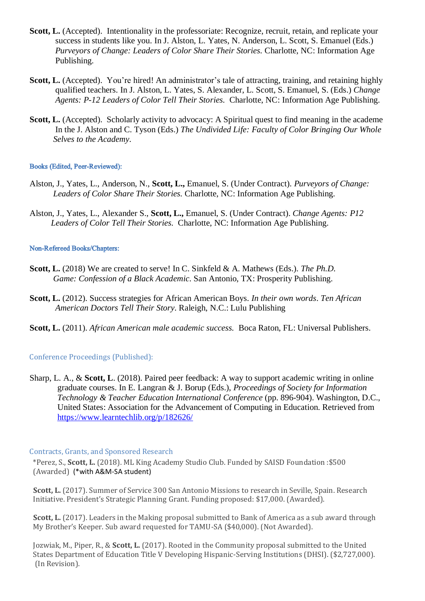- **Scott, L.** (Accepted). Intentionality in the professoriate: Recognize, recruit, retain, and replicate your success in students like you. In J. Alston, L. Yates, N. Anderson, L. Scott, S. Emanuel (Eds.) *Purveyors of Change: Leaders of Color Share Their Stories.* Charlotte, NC: Information Age Publishing.
- **Scott, L.** (Accepted). You're hired! An administrator's tale of attracting, training, and retaining highly qualified teachers. In J. Alston, L. Yates, S. Alexander, L. Scott, S. Emanuel, S. (Eds.) *Change Agents: P-12 Leaders of Color Tell Their Stories.* Charlotte, NC: Information Age Publishing.
- **Scott, L.** (Accepted). Scholarly activity to advocacy: A Spiritual quest to find meaning in the academe In the J. Alston and C. Tyson (Eds.) *The Undivided Life: Faculty of Color Bringing Our Whole Selves to the Academy.*

#### **Books (Edited, Peer-Reviewed):**

- Alston, J., Yates, L., Anderson, N., **Scott, L.,** Emanuel, S. (Under Contract). *Purveyors of Change: Leaders of Color Share Their Stories.* Charlotte, NC: Information Age Publishing.
- Alston, J., Yates, L., Alexander S., **Scott, L.,** Emanuel, S. (Under Contract). *Change Agents: P12 Leaders of Color Tell Their Stories.* Charlotte, NC: Information Age Publishing.

#### Non-Refereed Books/Chapters:

- **Scott, L.** (2018) We are created to serve! In C. Sinkfeld & A. Mathews (Eds.). *The Ph.D. Game: Confession of a Black Academic*. San Antonio, TX: Prosperity Publishing.
- **Scott, L.** (2012). Success strategies for African American Boys. *In their own words*. *Ten African American Doctors Tell Their Story*. Raleigh, N.C.: Lulu Publishing
- **Scott, L.** (2011). *African American male academic success.* Boca Raton, FL: Universal Publishers.

# Conference Proceedings (Published):

Sharp, L. A., & **Scott, L**. (2018). Paired peer feedback: A way to support academic writing in online graduate courses. In E. Langran & J. Borup (Eds.), *Proceedings of Society for Information Technology & Teacher Education International Conference* (pp. 896-904). Washington, D.C., United States: Association for the Advancement of Computing in Education. Retrieved from <https://www.learntechlib.org/p/182626/>

# Contracts, Grants, and Sponsored Research

\*Perez, S., **Scott, L.** (2018). ML King Academy Studio Club. Funded by SAISD Foundation :\$500 (Awarded) (\*with A&M-SA student)

 **Scott, L.** (2017). Summer of Service 300 San Antonio Missions to research in Seville, Spain. Research Initiative. President's Strategic Planning Grant. Funding proposed: \$17,000. (Awarded).

**Scott, L.** (2017). Leaders in the Making proposal submitted to Bank of America as a sub award through My Brother's Keeper. Sub award requested for TAMU-SA (\$40,000). (Not Awarded).

 Jozwiak, M., Piper, R., & **Scott, L.** (2017). Rooted in the Community proposal submitted to the United States Department of Education Title V Developing Hispanic-Serving Institutions (DHSI). (\$2,727,000). (In Revision).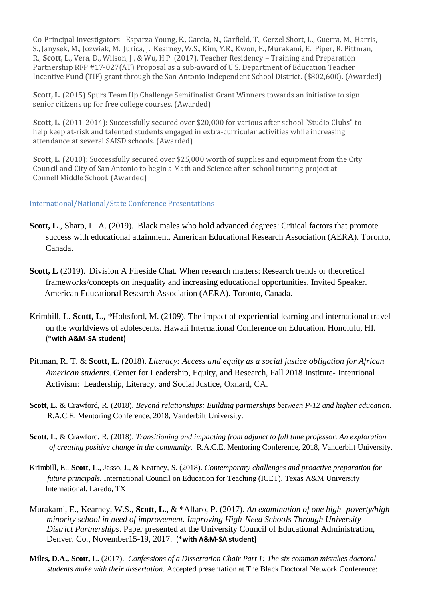Co-Principal Investigators –Esparza Young, E., Garcia, N., Garfield, T., Gerzel Short, L., Guerra, M., Harris, S., Janysek, M., Jozwiak, M., Jurica, J., Kearney, W.S., Kim, Y.R., Kwon, E., Murakami, E., Piper, R. Pittman, R., **Scott, L**., Vera, D., Wilson, J., & Wu, H.P. (2017). Teacher Residency – Training and Preparation Partnership RFP #17-027(AT) Proposal as a sub-award of U.S. Department of Education Teacher Incentive Fund (TIF) grant through the San Antonio Independent School District. (\$802,600). (Awarded)

 **Scott, L.** (2015) Spurs Team Up Challenge Semifinalist Grant Winners towards an initiative to sign senior citizens up for free college courses. (Awarded)

 **Scott, L.** (2011-2014): Successfully secured over \$20,000 for various after school "Studio Clubs" to help keep at-risk and talented students engaged in extra-curricular activities while increasing attendance at several SAISD schools. (Awarded)

**Scott, L.** (2010): Successfully secured over \$25,000 worth of supplies and equipment from the City Council and City of San Antonio to begin a Math and Science after-school tutoring project at Connell Middle School. (Awarded)

## International/National/State Conference Presentations

- **Scott, L**., Sharp, L. A. (2019). Black males who hold advanced degrees: Critical factors that promote success with educational attainment. American Educational Research Association (AERA). Toronto, Canada.
- **Scott, L** (2019). Division A Fireside Chat. When research matters: Research trends or theoretical frameworks/concepts on inequality and increasing educational opportunities. Invited Speaker. American Educational Research Association (AERA). Toronto, Canada.
- Krimbill, L. **Scott, L.,** \*Holtsford, M. (2109). The impact of experiential learning and international travel on the worldviews of adolescents. Hawaii International Conference on Education. Honolulu, HI. (\***with A&M-SA student)**
- Pittman, R. T. & **Scott, L.** (2018). *Literacy: Access and equity as a social justice obligation for African American students*. Center for Leadership, Equity, and Research, Fall 2018 Institute- Intentional Activism: Leadership, Literacy, and Social Justice, Oxnard, CA.
- **Scott, L**. & Crawford, R. (2018). *Beyond relationships: Building partnerships between P-12 and higher education.* R.A.C.E. Mentoring Conference, 2018, Vanderbilt University.
- **Scott, L**. & Crawford, R. (2018). *Transitioning and impacting from adjunct to full time professor. An exploration of creating positive change in the community.* R.A.C.E. Mentoring Conference, 2018, Vanderbilt University.
- Krimbill, E., **Scott, L.,** Jasso, J., & Kearney, S. (2018). *Contemporary challenges and proactive preparation for future principals.* International Council on Education for Teaching (ICET). Texas A&M University International. Laredo, TX
- Murakami, E., Kearney, W.S., **Scott, L.,** & \*Alfaro, P. (2017). *An examination of one high- poverty/high minority school in need of improvement. Improving High-Need Schools Through University– District Partnerships*. Paper presented at the University Council of Educational Administration, Denver, Co., November15-19, 2017. (\***with A&M-SA student)**
- **Miles, D.A., Scott, L.** (2017). *Confessions of a Dissertation Chair Part 1: The six common mistakes doctoral students make with their dissertation.* Accepted presentation at The Black Doctoral Network Conference: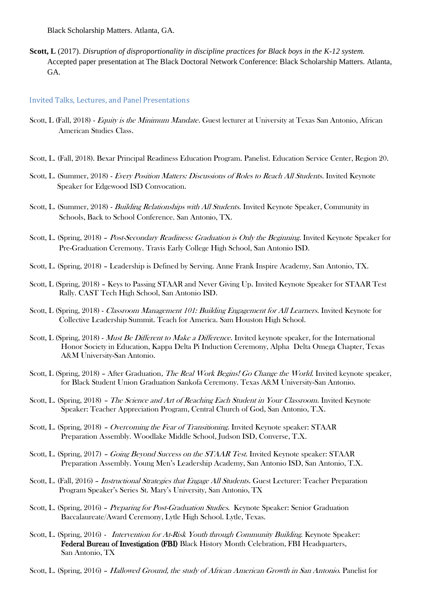Black Scholarship Matters. Atlanta, GA.

**Scott, L** (2017). *Disruption of disproportionality in discipline practices for Black boys in the K-12 system.* Accepted paper presentation at The Black Doctoral Network Conference: Black Scholarship Matters. Atlanta, GA.

#### Invited Talks, Lectures, and Panel Presentations

- Scott, L (Fall, 2018) Equity is the Minimum Mandate. Guest lecturer at University at Texas San Antonio, African American Studies Class.
- Scott, L. (Fall, 2018). Bexar Principal Readiness Education Program. Panelist. Education Service Center, Region 20.
- Scott, L. (Summer, 2018) Every Position Matters: Discussions of Roles to Reach All Students. Invited Keynote Speaker for Edgewood ISD Convocation.
- Scott, L. (Summer, 2018) Building Relationships with All Students. Invited Keynote Speaker, Community in Schools, Back to School Conference. San Antonio, TX.
- Scott, L. (Spring, 2018) Post-Secondary Readiness: Graduation is Only the Beginning. Invited Keynote Speaker for Pre-Graduation Ceremony. Travis Early College High School, San Antonio ISD.
- Scott, L. (Spring, 2018) Leadership is Defined by Serving. Anne Frank Inspire Academy, San Antonio, TX.
- Scott, L (Spring, 2018) Keys to Passing STAAR and Never Giving Up. Invited Keynote Speaker for STAAR Test Rally. CAST Tech High School, San Antonio ISD.
- Scott, L (Spring, 2018) Classroom Management 101: Building Engagement for All Learners. Invited Keynote for Collective Leadership Summit. Teach for America. Sam Houston High School.
- Scott, L (Spring, 2018) *Must Be Different to Make a Difference*. Invited keynote speaker, for the International Honor Society in Education, Kappa Delta Pi Induction Ceremony, Alpha Delta Omega Chapter, Texas A&M University-San Antonio.
- Scott, L (Spring, 2018) After Graduation, The Real Work Begins! Go Change the World. Invited keynote speaker, for Black Student Union Graduation Sankofa Ceremony. Texas A&M University-San Antonio.
- Scott, L. (Spring, 2018) The Science and Art of Reaching Each Student in Your Classroom. Invited Keynote Speaker: Teacher Appreciation Program, Central Church of God, San Antonio, T.X.
- Scott, L. (Spring, 2018) Overcoming the Fear of Transitioning. Invited Keynote speaker: STAAR Preparation Assembly. Woodlake Middle School, Judson ISD, Converse, T.X.
- Scott, L. (Spring, 2017) Going Beyond Success on the STAAR Test. Invited Keynote speaker: STAAR Preparation Assembly. Young Men's Leadership Academy, San Antonio ISD, San Antonio, T.X.
- Scott, L. (Fall, 2016) *Instructional Strategies that Engage All Students*. Guest Lecturer: Teacher Preparation Program Speaker's Series St. Mary's University, San Antonio, TX
- Scott, L. (Spring, 2016) Preparing for Post-Graduation Studies. Keynote Speaker: Senior Graduation Baccalaureate/Award Ceremony, Lytle High School. Lytle, Texas.
- Scott, L. (Spring, 2016) *Intervention for At-Risk Youth through Community Building*. Keynote Speaker: Federal Bureau of Investigation (FBI) Black History Month Celebration, FBI Headquarters, San Antonio, TX
- Scott, L. (Spring, 2016) Hallowed Ground, the study of African American Growth in San Antonio. Panelist for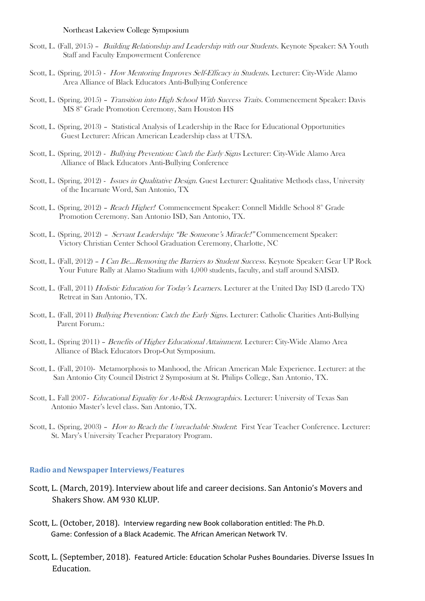#### Northeast Lakeview College Symposium

- Scott, L. (Fall, 2015) Building Relationship and Leadership with our Students. Keynote Speaker: SA Youth Staff and Faculty Empowerment Conference
- Scott, L. (Spring, 2015) How Mentoring Improves Self-Efficacy in Students. Lecturer: City-Wide Alamo Area Alliance of Black Educators Anti-Bullying Conference
- Scott, L. (Spring, 2015) Transition into High School With Success Traits. Commencement Speaker: Davis MS 8<sup>th</sup> Grade Promotion Ceremony, Sam Houston HS
- Scott, L. (Spring, 2013) Statistical Analysis of Leadership in the Race for Educational Opportunities Guest Lecturer: African American Leadership class at UTSA.
- Scott, L. (Spring, 2012) *Bullying Prevention: Catch the Early Signs* Lecturer: City-Wide Alamo Area Alliance of Black Educators Anti-Bullying Conference
- Scott, L. (Spring, 2012) Issues in Qualitative Design. Guest Lecturer: Qualitative Methods class, University of the Incarnate Word, San Antonio, TX
- Scott, L. (Spring, 2012) Reach Higher! Commencement Speaker: Connell Middle School 8<sup>th</sup> Grade Promotion Ceremony. San Antonio ISD, San Antonio, TX.
- Scott, L. (Spring, 2012) Servant Leadership: "Be Someone's Miracle!" Commencement Speaker: Victory Christian Center School Graduation Ceremony, Charlotte, NC
- Scott, L. (Fall, 2012) I Can Be...Removing the Barriers to Student Success. Keynote Speaker: Gear UP Rock Your Future Rally at Alamo Stadium with 4,000 students, faculty, and staff around SAISD.
- Scott, L. (Fall, 2011) Holistic Education for Today's Learners. Lecturer at the United Day ISD (Laredo TX) Retreat in San Antonio, TX.
- Scott, L. (Fall, 2011) Bullying Prevention: Catch the Early Signs. Lecturer: Catholic Charities Anti-Bullying Parent Forum.:
- Scott, L. (Spring 2011) Benefits of Higher Educational Attainment. Lecturer: City-Wide Alamo Area Alliance of Black Educators Drop-Out Symposium.
- Scott, L. (Fall, 2010)- Metamorphosis to Manhood, the African American Male Experience. Lecturer: at the San Antonio City Council District 2 Symposium at St. Philips College, San Antonio, TX.
- Scott, L. Fall 2007- *Educational Equality for At-Risk Demographics*. Lecturer: University of Texas San Antonio Master's level class. San Antonio, TX.
- Scott, L. (Spring, 2003) How to Reach the Unreachable Student: First Year Teacher Conference. Lecturer: St. Mary's University Teacher Preparatory Program.

#### **Radio and Newspaper Interviews/Features**

- Scott, L. (March, 2019). Interview about life and career decisions. San Antonio's Movers and Shakers Show. AM 930 KLUP.
- Scott, L. (October, 2018). Interview regarding new Book collaboration entitled: The Ph.D. Game: Confession of a Black Academic. The African American Network TV.
- Scott, L. (September, 2018). Featured Article: Education Scholar Pushes Boundaries. Diverse Issues In Education.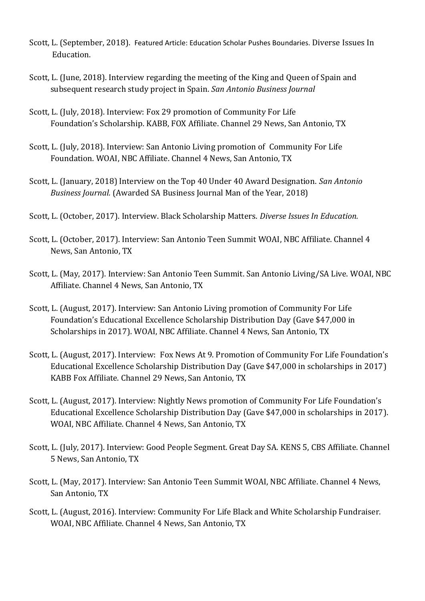- Scott, L. (September, 2018). Featured Article: Education Scholar Pushes Boundaries. Diverse Issues In Education.
- Scott, L. (June, 2018). Interview regarding the meeting of the King and Queen of Spain and subsequent research study project in Spain. *San Antonio Business Journal*
- Scott, L. (July, 2018). Interview: Fox 29 promotion of Community For Life Foundation's Scholarship. KABB, FOX Affiliate. Channel 29 News, San Antonio, TX
- Scott, L. (July, 2018). Interview: San Antonio Living promotion of Community For Life Foundation. WOAI, NBC Affiliate. Channel 4 News, San Antonio, TX
- Scott, L. (January, 2018) Interview on the Top 40 Under 40 Award Designation. *San Antonio Business Journal.* (Awarded SA Business Journal Man of the Year, 2018)
- Scott, L. (October, 2017). Interview. Black Scholarship Matters. *Diverse Issues In Education.*
- Scott, L. (October, 2017). Interview: San Antonio Teen Summit WOAI, NBC Affiliate. Channel 4 News, San Antonio, TX
- Scott, L. (May, 2017). Interview: San Antonio Teen Summit. San Antonio Living/SA Live. WOAI, NBC Affiliate. Channel 4 News, San Antonio, TX
- Scott, L. (August, 2017). Interview: San Antonio Living promotion of Community For Life Foundation's Educational Excellence Scholarship Distribution Day (Gave \$47,000 in Scholarships in 2017). WOAI, NBC Affiliate. Channel 4 News, San Antonio, TX
- Scott, L. (August, 2017). Interview: Fox News At 9. Promotion of Community For Life Foundation's Educational Excellence Scholarship Distribution Day (Gave \$47,000 in scholarships in 2017) KABB Fox Affiliate. Channel 29 News, San Antonio, TX
- Scott, L. (August, 2017). Interview: Nightly News promotion of Community For Life Foundation's Educational Excellence Scholarship Distribution Day (Gave \$47,000 in scholarships in 2017). WOAI, NBC Affiliate. Channel 4 News, San Antonio, TX
- Scott, L. (July, 2017). Interview: Good People Segment. Great Day SA. KENS 5, CBS Affiliate. Channel 5 News, San Antonio, TX
- Scott, L. (May, 2017). Interview: San Antonio Teen Summit WOAI, NBC Affiliate. Channel 4 News, San Antonio, TX
- Scott, L. (August, 2016). Interview: Community For Life Black and White Scholarship Fundraiser. WOAI, NBC Affiliate. Channel 4 News, San Antonio, TX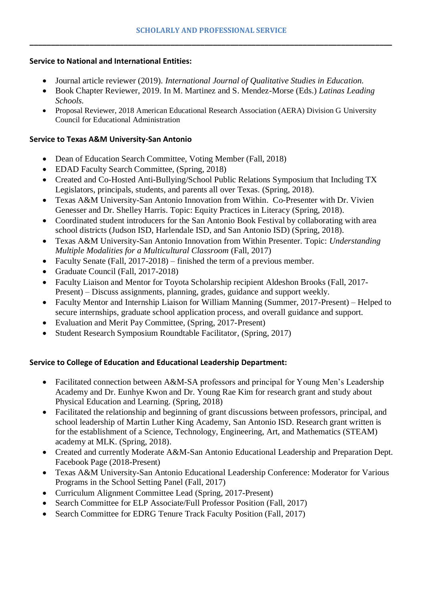# **Service to National and International Entities:**

- Journal article reviewer (2019). *International Journal of Qualitative Studies in Education.*
- Book Chapter Reviewer, 2019. In M. Martinez and S. Mendez-Morse (Eds.) *Latinas Leading Schools.*
- Proposal Reviewer, 2018 American Educational Research Association (AERA) Division G University Council for Educational Administration

# **Service to Texas A&M University-San Antonio**

- Dean of Education Search Committee, Voting Member (Fall, 2018)
- EDAD Faculty Search Committee, (Spring, 2018)
- Created and Co-Hosted Anti-Bullying/School Public Relations Symposium that Including TX Legislators, principals, students, and parents all over Texas. (Spring, 2018).
- Texas A&M University-San Antonio Innovation from Within. Co-Presenter with Dr. Vivien Genesser and Dr. Shelley Harris. Topic: Equity Practices in Literacy (Spring, 2018).
- Coordinated student introducers for the San Antonio Book Festival by collaborating with area school districts (Judson ISD, Harlendale ISD, and San Antonio ISD) (Spring, 2018).
- Texas A&M University-San Antonio Innovation from Within Presenter. Topic: *Understanding Multiple Modalities for a Multicultural Classroom* (Fall, 2017)
- Faculty Senate (Fall, 2017-2018) finished the term of a previous member.
- Graduate Council (Fall, 2017-2018)
- Faculty Liaison and Mentor for Toyota Scholarship recipient Aldeshon Brooks (Fall, 2017-Present) – Discuss assignments, planning, grades, guidance and support weekly.
- Faculty Mentor and Internship Liaison for William Manning (Summer, 2017-Present) Helped to secure internships, graduate school application process, and overall guidance and support.
- Evaluation and Merit Pay Committee, (Spring, 2017-Present)
- Student Research Symposium Roundtable Facilitator, (Spring, 2017)

# **Service to College of Education and Educational Leadership Department:**

- Facilitated connection between A&M-SA professors and principal for Young Men's Leadership Academy and Dr. Eunhye Kwon and Dr. Young Rae Kim for research grant and study about Physical Education and Learning. (Spring, 2018)
- Facilitated the relationship and beginning of grant discussions between professors, principal, and school leadership of Martin Luther King Academy, San Antonio ISD. Research grant written is for the establishment of a Science, Technology, Engineering, Art, and Mathematics (STEAM) academy at MLK. (Spring, 2018).
- Created and currently Moderate A&M-San Antonio Educational Leadership and Preparation Dept. Facebook Page (2018-Present)
- Texas A&M University-San Antonio Educational Leadership Conference: Moderator for Various Programs in the School Setting Panel (Fall, 2017)
- Curriculum Alignment Committee Lead (Spring, 2017-Present)
- Search Committee for ELP Associate/Full Professor Position (Fall, 2017)
- Search Committee for EDRG Tenure Track Faculty Position (Fall, 2017)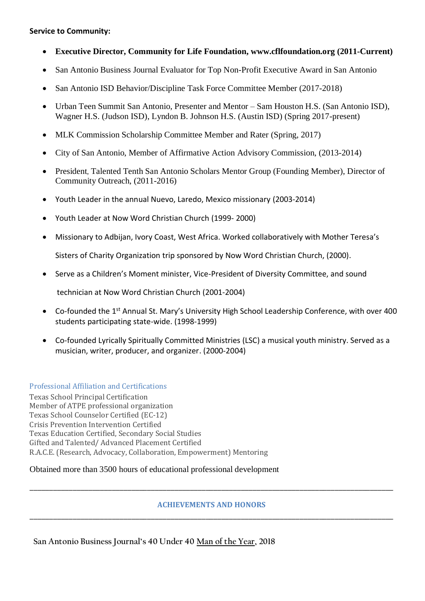# **Service to Community:**

- **Executive Director, Community for Life Foundation, www.cflfoundation.org (2011-Current)**
- San Antonio Business Journal Evaluator for Top Non-Profit Executive Award in San Antonio
- San Antonio ISD Behavior/Discipline Task Force Committee Member (2017-2018)
- Urban Teen Summit San Antonio, Presenter and Mentor Sam Houston H.S. (San Antonio ISD), Wagner H.S. (Judson ISD), Lyndon B. Johnson H.S. (Austin ISD) (Spring 2017-present)
- MLK Commission Scholarship Committee Member and Rater (Spring, 2017)
- City of San Antonio, Member of Affirmative Action Advisory Commission, (2013-2014)
- President, Talented Tenth San Antonio Scholars Mentor Group (Founding Member), Director of Community Outreach, (2011-2016)
- Youth Leader in the annual Nuevo, Laredo, Mexico missionary (2003-2014)
- Youth Leader at Now Word Christian Church (1999- 2000)
- Missionary to Adbijan, Ivory Coast, West Africa. Worked collaboratively with Mother Teresa's

Sisters of Charity Organization trip sponsored by Now Word Christian Church, (2000).

• Serve as a Children's Moment minister, Vice-President of Diversity Committee, and sound

technician at Now Word Christian Church (2001-2004)

- Co-founded the 1<sup>st</sup> Annual St. Mary's University High School Leadership Conference, with over 400 students participating state-wide. (1998-1999)
- Co-founded Lyrically Spiritually Committed Ministries (LSC) a musical youth ministry. Served as a musician, writer, producer, and organizer. (2000-2004)

Professional Affiliation and Certifications

Texas School Principal Certification Member of ATPE professional organization Texas School Counselor Certified (EC-12) Crisis Prevention Intervention Certified Texas Education Certified, Secondary Social Studies Gifted and Talented/ Advanced Placement Certified R.A.C.E. (Research, Advocacy, Collaboration, Empowerment) Mentoring

# Obtained more than 3500 hours of educational professional development

# **ACHIEVEMENTS AND HONORS** \_\_\_\_\_\_\_\_\_\_\_\_\_\_\_\_\_\_\_\_\_\_\_\_\_\_\_\_\_\_\_\_\_\_\_\_\_\_\_\_\_\_\_\_\_\_\_\_\_\_\_\_\_\_\_\_\_\_\_\_\_\_\_\_\_\_\_\_\_\_\_\_\_\_\_\_\_\_\_\_\_\_\_\_\_\_\_\_\_\_\_\_\_

\_\_\_\_\_\_\_\_\_\_\_\_\_\_\_\_\_\_\_\_\_\_\_\_\_\_\_\_\_\_\_\_\_\_\_\_\_\_\_\_\_\_\_\_\_\_\_\_\_\_\_\_\_\_\_\_\_\_\_\_\_\_\_\_\_\_\_\_\_\_\_\_\_\_\_\_\_\_\_\_\_\_\_\_\_\_\_\_\_\_\_\_\_

**San Antonio Business Journal's 40 Under 40 Man of the Year, 2018**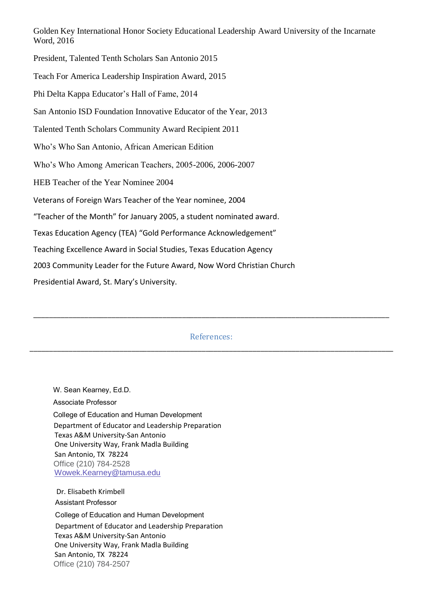Golden Key International Honor Society Educational Leadership Award University of the Incarnate Word, 2016

President, Talented Tenth Scholars San Antonio 2015 Teach For America Leadership Inspiration Award, 2015 Phi Delta Kappa Educator's Hall of Fame, 2014 San Antonio ISD Foundation Innovative Educator of the Year, 2013 Talented Tenth Scholars Community Award Recipient 2011 Who's Who San Antonio, African American Edition Who's Who Among American Teachers, 2005-2006, 2006-2007 HEB Teacher of the Year Nominee 2004 Veterans of Foreign Wars Teacher of the Year nominee, 2004 "Teacher of the Month" for January 2005, a student nominated award. Texas Education Agency (TEA) "Gold Performance Acknowledgement" Teaching Excellence Award in Social Studies, Texas Education Agency 2003 Community Leader for the Future Award, Now Word Christian Church Presidential Award, St. Mary's University.

References: \_\_\_\_\_\_\_\_\_\_\_\_\_\_\_\_\_\_\_\_\_\_\_\_\_\_\_\_\_\_\_\_\_\_\_\_\_\_\_\_\_\_\_\_\_\_\_\_\_\_\_\_\_\_\_\_\_\_\_\_\_\_\_\_\_\_\_\_\_\_\_\_\_\_\_\_\_\_\_\_\_\_\_\_\_\_\_\_\_\_\_\_\_

\_\_\_\_\_\_\_\_\_\_\_\_\_\_\_\_\_\_\_\_\_\_\_\_\_\_\_\_\_\_\_\_\_\_\_\_\_\_\_\_\_\_\_\_\_\_\_\_\_\_\_\_\_\_\_\_\_\_\_\_\_\_\_\_\_\_\_\_\_\_\_\_\_\_\_\_\_\_\_\_\_\_\_\_\_\_\_\_\_\_\_

 W. Sean Kearney, Ed.D. Associate Professor College of Education and Human Development Department of Educator and Leadership Preparation Texas A&M University-San Antonio One University Way, Frank Madla Building San Antonio, TX 78224 Office (210) 784-2528 [Wowek.Kearney@tamusa.edu](mailto:Wowek.Kearney@tamusa.tamus.edu)

 Dr. Elisabeth Krimbell Assistant Professor College of Education and Human Development Department of Educator and Leadership Preparation Texas A&M University-San Antonio One University Way, Frank Madla Building San Antonio, TX 78224 Office (210) 784-2507